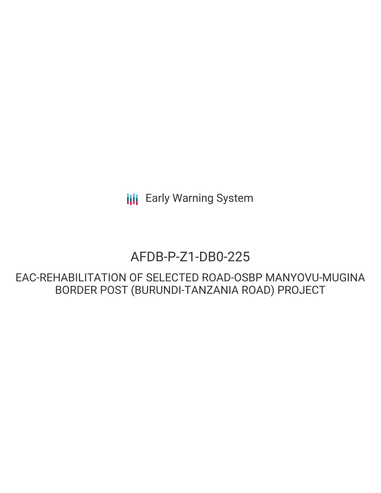**III** Early Warning System

# AFDB-P-Z1-DB0-225

EAC-REHABILITATION OF SELECTED ROAD-OSBP MANYOVU-MUGINA BORDER POST (BURUNDI-TANZANIA ROAD) PROJECT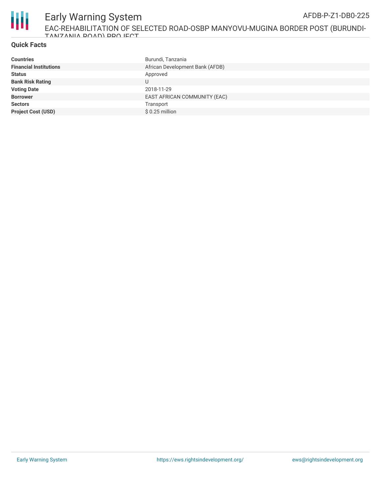

#### **Quick Facts**

| <b>Countries</b>              | Burundi, Tanzania               |
|-------------------------------|---------------------------------|
| <b>Financial Institutions</b> | African Development Bank (AFDB) |
| <b>Status</b>                 | Approved                        |
| <b>Bank Risk Rating</b>       | U                               |
| <b>Voting Date</b>            | 2018-11-29                      |
| <b>Borrower</b>               | EAST AFRICAN COMMUNITY (EAC)    |
| <b>Sectors</b>                | Transport                       |
| <b>Project Cost (USD)</b>     | $$0.25$ million                 |
|                               |                                 |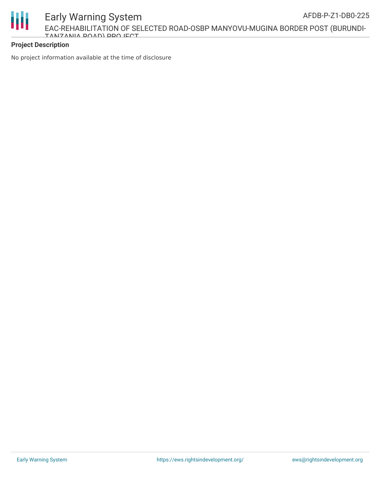

EAC-REHABILITATION OF SELECTED ROAD-OSBP MANYOVU-MUGINA BORDER POST (BURUNDI-TANZANIA ROAD) PROJECT

#### **Project Description**

Ш

No project information available at the time of disclosure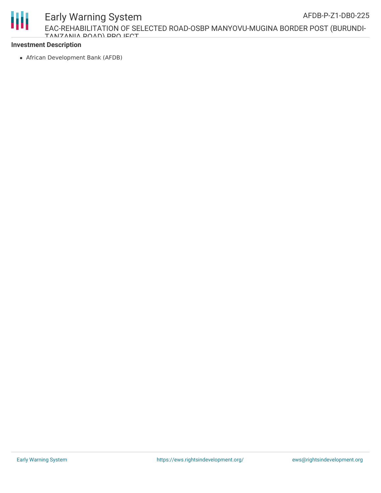Early Warning System



EAC-REHABILITATION OF SELECTED ROAD-OSBP MANYOVU-MUGINA BORDER POST (BURUNDI-TANIZANIIA DOAD) DDA IECT

## **Investment Description**

African Development Bank (AFDB)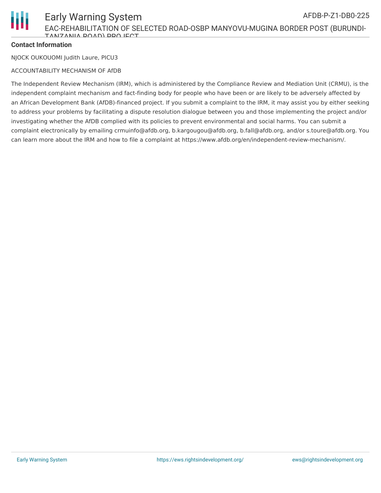

### **Contact Information**

NJOCK OUKOUOMI Judith Laure, PICU3

#### ACCOUNTABILITY MECHANISM OF AfDB

The Independent Review Mechanism (IRM), which is administered by the Compliance Review and Mediation Unit (CRMU), is the independent complaint mechanism and fact-finding body for people who have been or are likely to be adversely affected by an African Development Bank (AfDB)-financed project. If you submit a complaint to the IRM, it may assist you by either seeking to address your problems by facilitating a dispute resolution dialogue between you and those implementing the project and/or investigating whether the AfDB complied with its policies to prevent environmental and social harms. You can submit a complaint electronically by emailing crmuinfo@afdb.org, b.kargougou@afdb.org, b.fall@afdb.org, and/or s.toure@afdb.org. You can learn more about the IRM and how to file a complaint at https://www.afdb.org/en/independent-review-mechanism/.